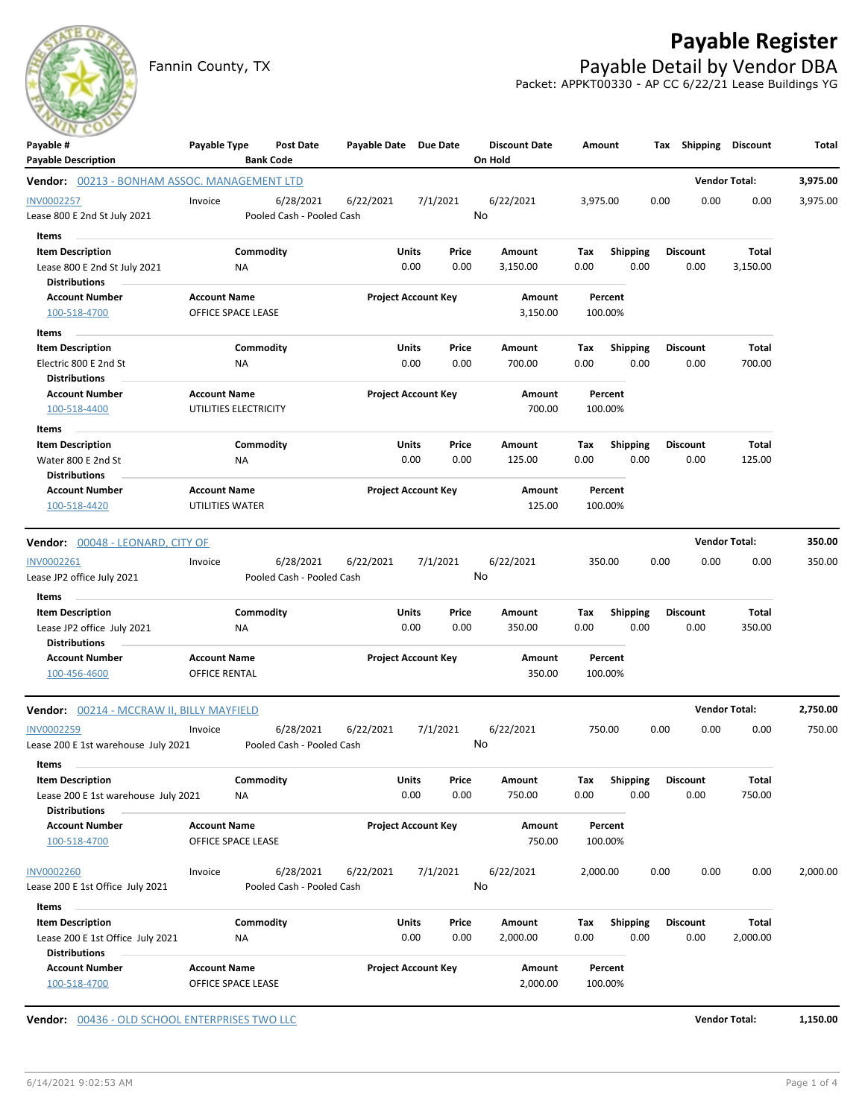

Fannin County, TX **Payable Detail by Vendor DBA** Packet: APPKT00330 - AP CC 6/22/21 Lease Buildings YG



| Payable #<br><b>Payable Description</b>          | Payable Type                                | <b>Bank Code</b>          | Post Date | Payable Date Due Date |                            |          | <b>Discount Date</b><br>On Hold | Amount   |                    | Tax  | Shipping        | <b>Discount</b>      | Total    |
|--------------------------------------------------|---------------------------------------------|---------------------------|-----------|-----------------------|----------------------------|----------|---------------------------------|----------|--------------------|------|-----------------|----------------------|----------|
| Vendor: 00213 - BONHAM ASSOC. MANAGEMENT LTD     |                                             |                           |           |                       |                            |          |                                 |          |                    |      |                 | <b>Vendor Total:</b> | 3,975.00 |
| <b>INV0002257</b>                                | Invoice                                     |                           | 6/28/2021 | 6/22/2021             |                            | 7/1/2021 | 6/22/2021                       | 3,975.00 |                    | 0.00 | 0.00            | 0.00                 | 3,975.00 |
| Lease 800 E 2nd St July 2021                     |                                             | Pooled Cash - Pooled Cash |           |                       |                            |          | No                              |          |                    |      |                 |                      |          |
| Items                                            |                                             |                           |           |                       |                            |          |                                 |          |                    |      |                 |                      |          |
| <b>Item Description</b>                          |                                             | Commodity                 |           |                       | <b>Units</b>               | Price    | Amount                          | Тах      | <b>Shipping</b>    |      | <b>Discount</b> | Total                |          |
| Lease 800 E 2nd St July 2021                     |                                             | ΝA                        |           |                       | 0.00                       | 0.00     | 3,150.00                        | 0.00     | 0.00               |      | 0.00            | 3,150.00             |          |
| <b>Distributions</b>                             |                                             |                           |           |                       |                            |          |                                 |          |                    |      |                 |                      |          |
| <b>Account Number</b>                            | <b>Account Name</b>                         |                           |           |                       | <b>Project Account Key</b> |          | Amount                          |          | Percent            |      |                 |                      |          |
| 100-518-4700                                     | OFFICE SPACE LEASE                          |                           |           |                       |                            |          | 3,150.00                        |          | 100.00%            |      |                 |                      |          |
| Items                                            |                                             |                           |           |                       |                            |          |                                 |          |                    |      |                 |                      |          |
| <b>Item Description</b>                          |                                             | Commodity                 |           |                       | <b>Units</b>               | Price    | Amount                          | Tax      | Shipping           |      | <b>Discount</b> | Total                |          |
| Electric 800 E 2nd St                            |                                             | ΝA                        |           |                       | 0.00                       | 0.00     | 700.00                          | 0.00     | 0.00               |      | 0.00            | 700.00               |          |
| <b>Distributions</b>                             |                                             |                           |           |                       |                            |          |                                 |          |                    |      |                 |                      |          |
| <b>Account Number</b>                            | <b>Account Name</b>                         |                           |           |                       | <b>Project Account Key</b> |          | Amount                          |          | Percent            |      |                 |                      |          |
| 100-518-4400                                     | UTILITIES ELECTRICITY                       |                           |           |                       |                            |          | 700.00                          |          | 100.00%            |      |                 |                      |          |
| Items                                            |                                             |                           |           |                       |                            |          |                                 |          |                    |      |                 |                      |          |
| <b>Item Description</b>                          |                                             | Commodity                 |           |                       | <b>Units</b>               | Price    | Amount                          | Tax      | <b>Shipping</b>    |      | Discount        | Total                |          |
| Water 800 E 2nd St                               | ΝA                                          |                           |           |                       | 0.00                       | 0.00     | 125.00                          | 0.00     | 0.00               |      | 0.00            | 125.00               |          |
| <b>Distributions</b>                             |                                             |                           |           |                       |                            |          |                                 |          |                    |      |                 |                      |          |
| <b>Account Number</b>                            | <b>Account Name</b>                         |                           |           |                       | <b>Project Account Key</b> |          | Amount                          |          | Percent            |      |                 |                      |          |
| 100-518-4420                                     | UTILITIES WATER                             |                           |           |                       |                            |          | 125.00                          |          | 100.00%            |      |                 |                      |          |
| Vendor: 00048 - LEONARD, CITY OF                 |                                             |                           |           |                       |                            |          |                                 |          |                    |      |                 | <b>Vendor Total:</b> | 350.00   |
|                                                  |                                             |                           |           |                       |                            |          |                                 |          |                    |      |                 |                      |          |
| INV0002261<br>Lease JP2 office July 2021         | Invoice                                     | Pooled Cash - Pooled Cash | 6/28/2021 | 6/22/2021             |                            | 7/1/2021 | 6/22/2021<br>No                 |          | 350.00             | 0.00 | 0.00            | 0.00                 | 350.00   |
| Items                                            |                                             |                           |           |                       |                            |          |                                 |          |                    |      |                 |                      |          |
| <b>Item Description</b>                          |                                             | Commodity                 |           |                       | <b>Units</b>               | Price    | Amount                          | Tax      | <b>Shipping</b>    |      | Discount        | Total                |          |
| Lease JP2 office July 2021                       |                                             | NA                        |           |                       | 0.00                       | 0.00     | 350.00                          | 0.00     | 0.00               |      | 0.00            | 350.00               |          |
| <b>Distributions</b>                             |                                             |                           |           |                       |                            |          |                                 |          |                    |      |                 |                      |          |
| <b>Account Number</b>                            | <b>Account Name</b><br><b>OFFICE RENTAL</b> |                           |           |                       | <b>Project Account Key</b> |          | Amount<br>350.00                |          | Percent<br>100.00% |      |                 |                      |          |
| 100-456-4600                                     |                                             |                           |           |                       |                            |          |                                 |          |                    |      |                 |                      |          |
| <b>Vendor: 00214 - MCCRAW II, BILLY MAYFIELD</b> |                                             |                           |           |                       |                            |          |                                 |          |                    |      |                 | <b>Vendor Total:</b> | 2,750.00 |
| INV0002259                                       | Invoice                                     |                           | 6/28/2021 | 6/22/2021             |                            | 7/1/2021 | 6/22/2021                       |          | 750.00             | 0.00 | 0.00            | 0.00                 | 750.00   |
| Lease 200 E 1st warehouse July 2021              |                                             | Pooled Cash - Pooled Cash |           |                       |                            |          | No                              |          |                    |      |                 |                      |          |
| Items                                            |                                             |                           |           |                       |                            |          |                                 |          |                    |      |                 |                      |          |
| <b>Item Description</b>                          |                                             | Commodity                 |           |                       | <b>Units</b>               | Price    | Amount                          | Tax      | Shipping           |      | <b>Discount</b> | Total                |          |
| Lease 200 E 1st warehouse July 2021              | NA                                          |                           |           |                       | 0.00                       | 0.00     | 750.00                          | 0.00     | 0.00               |      | 0.00            | 750.00               |          |
| <b>Distributions</b>                             |                                             |                           |           |                       |                            |          |                                 |          |                    |      |                 |                      |          |
| <b>Account Number</b>                            | <b>Account Name</b>                         |                           |           |                       | <b>Project Account Key</b> |          | Amount                          |          | Percent            |      |                 |                      |          |
| 100-518-4700                                     | OFFICE SPACE LEASE                          |                           |           |                       |                            |          | 750.00                          |          | 100.00%            |      |                 |                      |          |
| INV0002260                                       | Invoice                                     |                           | 6/28/2021 | 6/22/2021             |                            | 7/1/2021 | 6/22/2021                       | 2,000.00 |                    | 0.00 | 0.00            | 0.00                 | 2,000.00 |
| Lease 200 E 1st Office July 2021                 |                                             | Pooled Cash - Pooled Cash |           |                       |                            |          | No                              |          |                    |      |                 |                      |          |
| Items                                            |                                             |                           |           |                       |                            |          |                                 |          |                    |      |                 |                      |          |
| <b>Item Description</b>                          |                                             | Commodity                 |           |                       | <b>Units</b>               | Price    | Amount                          | Tax      | Shipping           |      | <b>Discount</b> | Total                |          |
| Lease 200 E 1st Office July 2021                 | NA                                          |                           |           |                       | 0.00                       | 0.00     | 2,000.00                        | 0.00     | 0.00               |      | 0.00            | 2,000.00             |          |
| <b>Distributions</b>                             |                                             |                           |           |                       |                            |          |                                 |          |                    |      |                 |                      |          |
| <b>Account Number</b>                            | <b>Account Name</b>                         |                           |           |                       | <b>Project Account Key</b> |          | Amount                          |          | Percent            |      |                 |                      |          |
| 100-518-4700                                     | OFFICE SPACE LEASE                          |                           |           |                       |                            |          | 2,000.00                        |          | 100.00%            |      |                 |                      |          |
|                                                  |                                             |                           |           |                       |                            |          |                                 |          |                    |      |                 |                      |          |
| Vendor: 00436 - OLD SCHOOL ENTERPRISES TWO LLC   |                                             |                           |           |                       |                            |          |                                 |          |                    |      |                 | <b>Vendor Total:</b> | 1,150.00 |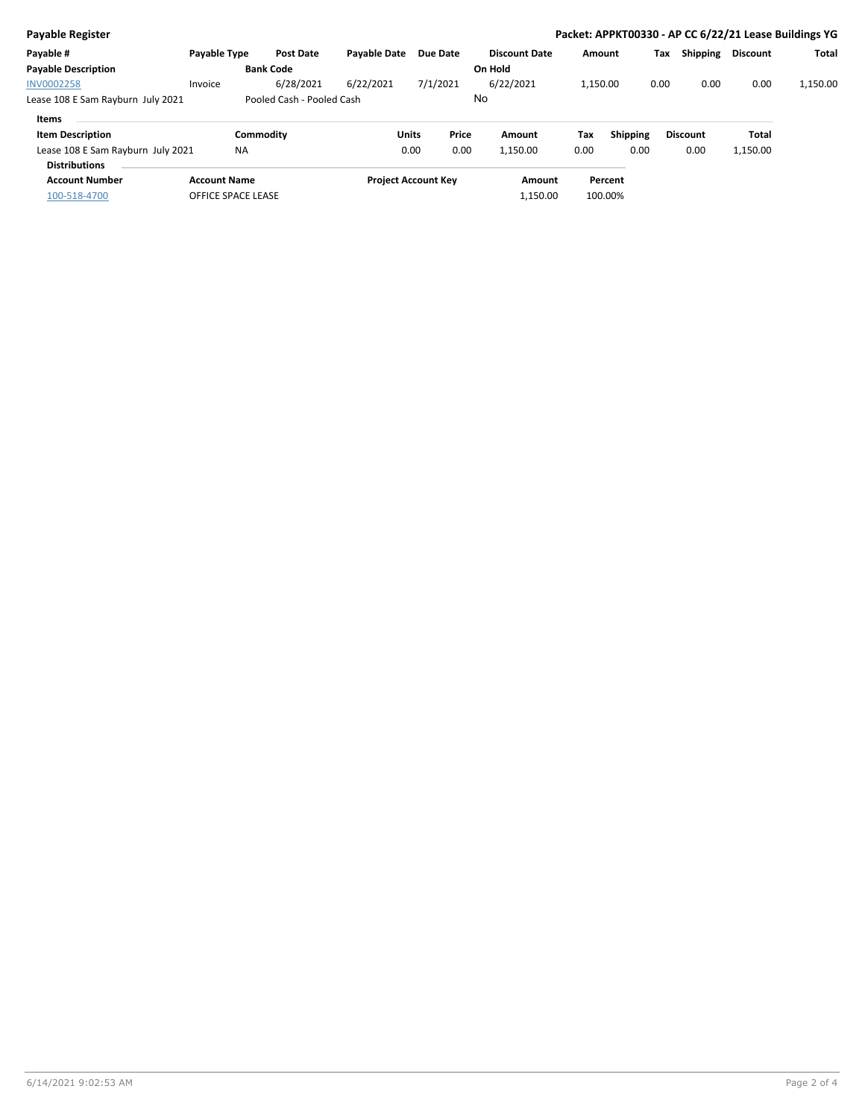| <b>Payable Register</b>           |                     |                           |                     |                            |       |                      |          |                 |      |                 | Packet: APPKT00330 - AP CC 6/22/21 Lease Buildings YG |          |
|-----------------------------------|---------------------|---------------------------|---------------------|----------------------------|-------|----------------------|----------|-----------------|------|-----------------|-------------------------------------------------------|----------|
| Payable #                         | Payable Type        | <b>Post Date</b>          | <b>Pavable Date</b> | Due Date                   |       | <b>Discount Date</b> | Amount   |                 | Tax  | Shipping        | <b>Discount</b>                                       | Total    |
| <b>Payable Description</b>        |                     | <b>Bank Code</b>          |                     |                            |       | On Hold              |          |                 |      |                 |                                                       |          |
| <b>INV0002258</b>                 | Invoice             | 6/28/2021                 | 6/22/2021           | 7/1/2021                   |       | 6/22/2021            | 1,150.00 |                 | 0.00 | 0.00            | 0.00                                                  | 1,150.00 |
| Lease 108 E Sam Rayburn July 2021 |                     | Pooled Cash - Pooled Cash |                     |                            |       | No                   |          |                 |      |                 |                                                       |          |
| Items                             |                     |                           |                     |                            |       |                      |          |                 |      |                 |                                                       |          |
| <b>Item Description</b>           |                     | Commodity                 |                     | <b>Units</b>               | Price | Amount               | Tax      | <b>Shipping</b> |      | <b>Discount</b> | <b>Total</b>                                          |          |
| Lease 108 E Sam Rayburn July 2021 | <b>NA</b>           |                           |                     | 0.00                       | 0.00  | 1,150.00             | 0.00     | 0.00            |      | 0.00            | 1,150.00                                              |          |
| <b>Distributions</b>              |                     |                           |                     |                            |       |                      |          |                 |      |                 |                                                       |          |
| <b>Account Number</b>             | <b>Account Name</b> |                           |                     | <b>Project Account Key</b> |       | Amount               |          | Percent         |      |                 |                                                       |          |
| 100-518-4700                      | OFFICE SPACE LEASE  |                           |                     |                            |       | 1,150.00             |          | 100.00%         |      |                 |                                                       |          |
|                                   |                     |                           |                     |                            |       |                      |          |                 |      |                 |                                                       |          |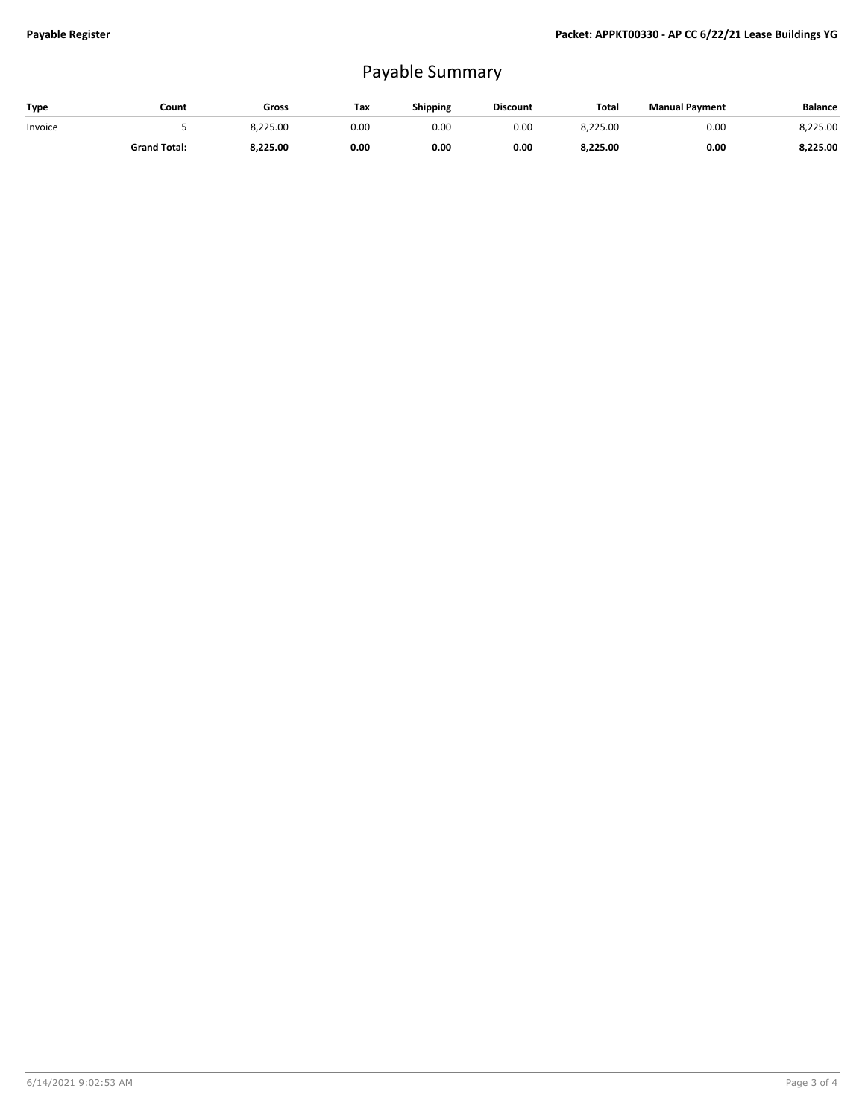## Payable Summary

| Type    | Count               | Gross    | Tax  | <b>Shipping</b> | <b>Discount</b> | <b>Total</b> | <b>Manual Payment</b> | <b>Balance</b> |
|---------|---------------------|----------|------|-----------------|-----------------|--------------|-----------------------|----------------|
| Invoice |                     | 8,225.00 | 0.00 | 0.OC            | 0.00            | 8,225.00     | 0.00                  | 8,225.00       |
|         | <b>Grand Total:</b> | 8.225.00 | 0.00 | 0.00            | 0.00            | 8,225.00     | 0.00                  | 8,225.00       |